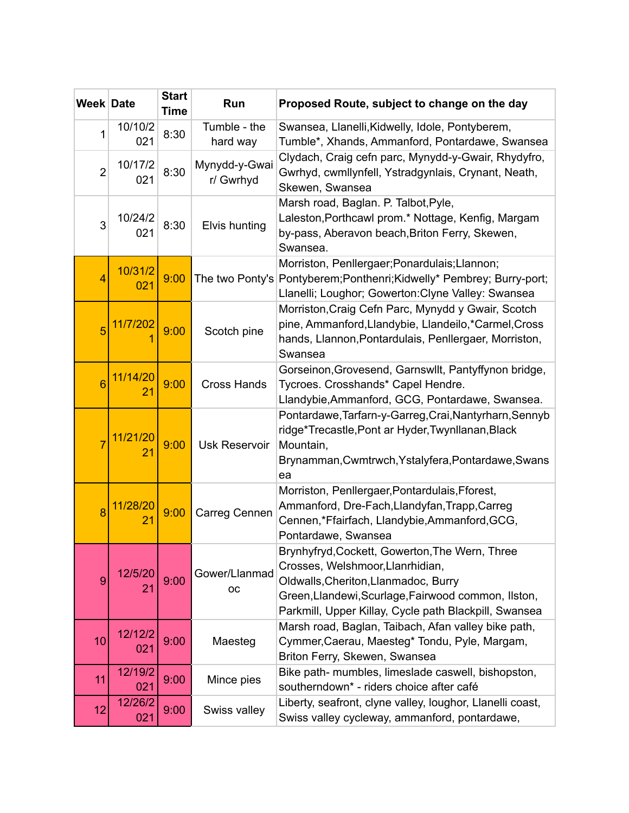| <b>Week Date</b> |                            | <b>Start</b><br><b>Time</b> | Run                        | Proposed Route, subject to change on the day                                                                                                                                                                                               |
|------------------|----------------------------|-----------------------------|----------------------------|--------------------------------------------------------------------------------------------------------------------------------------------------------------------------------------------------------------------------------------------|
| 1                | 10/10/2<br>021             | 8:30                        | Tumble - the<br>hard way   | Swansea, Llanelli, Kidwelly, Idole, Pontyberem,<br>Tumble*, Xhands, Ammanford, Pontardawe, Swansea                                                                                                                                         |
| $\overline{2}$   | 10/17/2<br>021             | 8:30                        | Mynydd-y-Gwai<br>r/ Gwrhyd | Clydach, Craig cefn parc, Mynydd-y-Gwair, Rhydyfro,<br>Gwrhyd, cwmllynfell, Ystradgynlais, Crynant, Neath,<br>Skewen, Swansea                                                                                                              |
| 3                | 10/24/2<br>021             | 8:30                        | Elvis hunting              | Marsh road, Baglan. P. Talbot, Pyle,<br>Laleston, Porthcawl prom.* Nottage, Kenfig, Margam<br>by-pass, Aberavon beach, Briton Ferry, Skewen,<br>Swansea.                                                                                   |
| 4                | 10/31/2<br>021             | 9:00                        |                            | Morriston, Penllergaer; Ponardulais; Llannon;<br>The two Ponty's Pontyberem; Ponthenri; Kidwelly* Pembrey; Burry-port;<br>Llanelli; Loughor; Gowerton: Clyne Valley: Swansea                                                               |
| 5                | 11/7/202                   | 9:00                        | Scotch pine                | Morriston, Craig Cefn Parc, Mynydd y Gwair, Scotch<br>pine, Ammanford, Llandybie, Llandeilo, *Carmel, Cross<br>hands, Llannon, Pontardulais, Penllergaer, Morriston,<br>Swansea                                                            |
| $6\overline{6}$  | 11/14/20<br>2 <sub>1</sub> | 9:00                        | <b>Cross Hands</b>         | Gorseinon, Grovesend, Garnswllt, Pantyffynon bridge,<br>Tycroes. Crosshands* Capel Hendre.<br>Llandybie, Ammanford, GCG, Pontardawe, Swansea.                                                                                              |
|                  | 11/21/20<br>2 <sub>1</sub> | 9:00                        | <b>Usk Reservoir</b>       | Pontardawe, Tarfarn-y-Garreg, Crai, Nantyrharn, Sennyb<br>ridge*Trecastle, Pont ar Hyder, Twynllanan, Black<br>Mountain,<br>Brynamman, Cwmtrwch, Ystalyfera, Pontardawe, Swans<br>ea                                                       |
| 8                | 11/28/20<br>21             | 9:00                        | Carreg Cennen              | Morriston, Penllergaer, Pontardulais, Fforest,<br>Ammanford, Dre-Fach, Llandyfan, Trapp, Carreg<br>Cennen,*Ffairfach, Llandybie,Ammanford,GCG,<br>Pontardawe, Swansea                                                                      |
| $\overline{9}$   | 12/5/20<br>21              | 9:00                        | Gower/Llanmad<br><b>OC</b> | Brynhyfryd, Cockett, Gowerton, The Wern, Three<br>Crosses, Welshmoor, Llanrhidian,<br>Oldwalls, Cheriton, Llanmadoc, Burry<br>Green, Llandewi, Scurlage, Fairwood common, Ilston,<br>Parkmill, Upper Killay, Cycle path Blackpill, Swansea |
| 10               | 12/12/2<br>021             | 9:00                        | Maesteg                    | Marsh road, Baglan, Taibach, Afan valley bike path,<br>Cymmer, Caerau, Maesteg* Tondu, Pyle, Margam,<br>Briton Ferry, Skewen, Swansea                                                                                                      |
| 11               | 12/19/2<br>021             | 9:00                        | Mince pies                 | Bike path- mumbles, limeslade caswell, bishopston,<br>southerndown* - riders choice after café                                                                                                                                             |
| 12               | 12/26/2<br>021             | 9:00                        | Swiss valley               | Liberty, seafront, clyne valley, loughor, Llanelli coast,<br>Swiss valley cycleway, ammanford, pontardawe,                                                                                                                                 |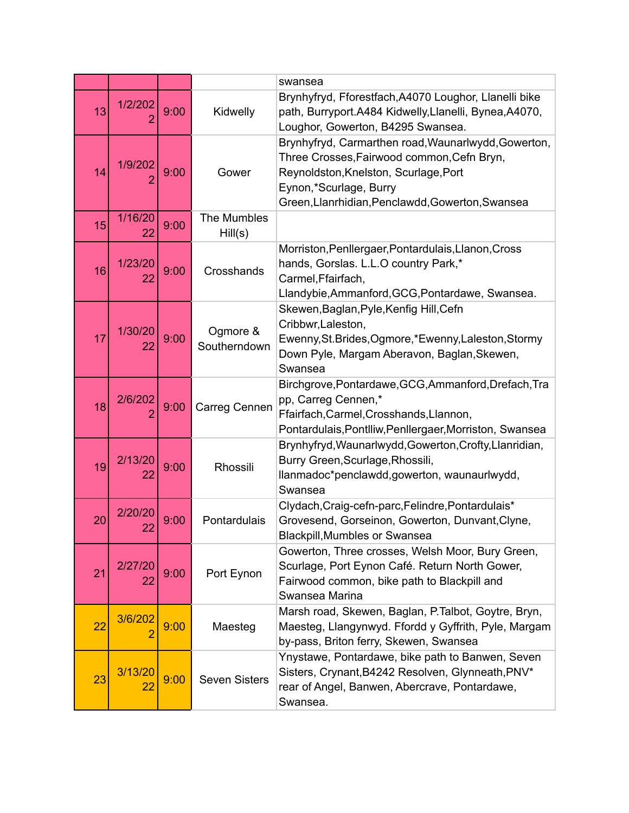|    |               |      |                          | swansea                                                                                                                                                                                                                  |
|----|---------------|------|--------------------------|--------------------------------------------------------------------------------------------------------------------------------------------------------------------------------------------------------------------------|
| 13 | 1/2/202       | 9:00 | Kidwelly                 | Brynhyfryd, Fforestfach, A4070 Loughor, Llanelli bike<br>path, Burryport.A484 Kidwelly,Llanelli, Bynea,A4070,<br>Loughor, Gowerton, B4295 Swansea.                                                                       |
| 14 | 1/9/202       | 9:00 | Gower                    | Brynhyfryd, Carmarthen road, Waunarlwydd, Gowerton,<br>Three Crosses, Fairwood common, Cefn Bryn,<br>Reynoldston, Knelston, Scurlage, Port<br>Eynon,*Scurlage, Burry<br>Green, Llanrhidian, Penclawdd, Gowerton, Swansea |
| 15 | 1/16/20<br>22 | 9:00 | The Mumbles<br>Hill(s)   |                                                                                                                                                                                                                          |
| 16 | 1/23/20<br>22 | 9:00 | Crosshands               | Morriston, Penllergaer, Pontardulais, Llanon, Cross<br>hands, Gorslas. L.L.O country Park,*<br>Carmel, Ffairfach,<br>Llandybie, Ammanford, GCG, Pontardawe, Swansea.                                                     |
| 17 | 1/30/20<br>22 | 9:00 | Ogmore &<br>Southerndown | Skewen, Baglan, Pyle, Kenfig Hill, Cefn<br>Cribbwr, Laleston,<br>Ewenny, St. Brides, Ogmore, * Ewenny, Laleston, Stormy<br>Down Pyle, Margam Aberavon, Baglan, Skewen,<br>Swansea                                        |
| 18 | 2/6/202       | 9:00 | Carreg Cennen            | Birchgrove, Pontardawe, GCG, Ammanford, Drefach, Tra<br>pp, Carreg Cennen,*<br>Ffairfach, Carmel, Crosshands, Llannon,<br>Pontardulais, Pontlliw, Penllergaer, Morriston, Swansea                                        |
| 19 | 2/13/20<br>22 | 9:00 | Rhossili                 | Brynhyfryd, Waunarlwydd, Gowerton, Crofty, Llanridian,<br>Burry Green, Scurlage, Rhossili,<br>llanmadoc*penclawdd,gowerton, waunaurlwydd,<br>Swansea                                                                     |
| 20 | 2/20/20<br>22 | 9:00 | Pontardulais             | Clydach, Craig-cefn-parc, Felindre, Pontardulais*<br>Grovesend, Gorseinon, Gowerton, Dunvant, Clyne,<br><b>Blackpill, Mumbles or Swansea</b>                                                                             |
| 21 | 2/27/20<br>22 | 9:00 | Port Eynon               | Gowerton, Three crosses, Welsh Moor, Bury Green,<br>Scurlage, Port Eynon Café. Return North Gower,<br>Fairwood common, bike path to Blackpill and<br>Swansea Marina                                                      |
| 22 | 3/6/202       | 9:00 | Maesteg                  | Marsh road, Skewen, Baglan, P.Talbot, Goytre, Bryn,<br>Maesteg, Llangynwyd. Ffordd y Gyffrith, Pyle, Margam<br>by-pass, Briton ferry, Skewen, Swansea                                                                    |
| 23 | 3/13/20<br>22 | 9:00 | <b>Seven Sisters</b>     | Ynystawe, Pontardawe, bike path to Banwen, Seven<br>Sisters, Crynant, B4242 Resolven, Glynneath, PNV*<br>rear of Angel, Banwen, Abercrave, Pontardawe,<br>Swansea.                                                       |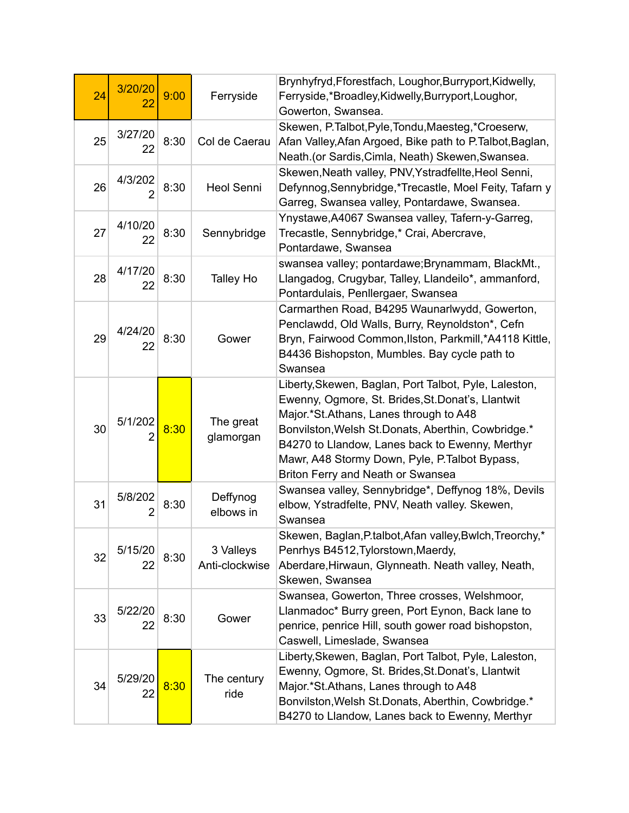| 24 | 3/20/20<br>22             | 9:00 | Ferryside                   | Brynhyfryd, Fforestfach, Loughor, Burryport, Kidwelly,<br>Ferryside,*Broadley,Kidwelly,Burryport,Loughor,<br>Gowerton, Swansea.                                                                                                                                                                                                                      |
|----|---------------------------|------|-----------------------------|------------------------------------------------------------------------------------------------------------------------------------------------------------------------------------------------------------------------------------------------------------------------------------------------------------------------------------------------------|
| 25 | 3/27/20<br>22             | 8:30 | Col de Caerau               | Skewen, P.Talbot, Pyle, Tondu, Maesteg, *Croeserw,<br>Afan Valley, Afan Argoed, Bike path to P. Talbot, Baglan,<br>Neath.(or Sardis, Cimla, Neath) Skewen, Swansea.                                                                                                                                                                                  |
| 26 | 4/3/202<br>$\overline{2}$ | 8:30 | <b>Heol Senni</b>           | Skewen, Neath valley, PNV, Ystradfellte, Heol Senni,<br>Defynnog, Sennybridge, *Trecastle, Moel Feity, Tafarn y<br>Garreg, Swansea valley, Pontardawe, Swansea.                                                                                                                                                                                      |
| 27 | 4/10/20<br>22             | 8:30 | Sennybridge                 | Ynystawe, A4067 Swansea valley, Tafern-y-Garreg,<br>Trecastle, Sennybridge,* Crai, Abercrave,<br>Pontardawe, Swansea                                                                                                                                                                                                                                 |
| 28 | 4/17/20<br>22             | 8:30 | <b>Talley Ho</b>            | swansea valley; pontardawe; Brynammam, BlackMt.,<br>Llangadog, Crugybar, Talley, Llandeilo*, ammanford,<br>Pontardulais, Penllergaer, Swansea                                                                                                                                                                                                        |
| 29 | 4/24/20<br>22             | 8:30 | Gower                       | Carmarthen Road, B4295 Waunarlwydd, Gowerton,<br>Penclawdd, Old Walls, Burry, Reynoldston*, Cefn<br>Bryn, Fairwood Common, Ilston, Parkmill, *A4118 Kittle,<br>B4436 Bishopston, Mumbles. Bay cycle path to<br>Swansea                                                                                                                               |
| 30 | 5/1/202                   | 8:30 | The great<br>glamorgan      | Liberty, Skewen, Baglan, Port Talbot, Pyle, Laleston,<br>Ewenny, Ogmore, St. Brides, St. Donat's, Llantwit<br>Major.*St.Athans, Lanes through to A48<br>Bonvilston, Welsh St. Donats, Aberthin, Cowbridge.*<br>B4270 to Llandow, Lanes back to Ewenny, Merthyr<br>Mawr, A48 Stormy Down, Pyle, P.Talbot Bypass,<br>Briton Ferry and Neath or Swansea |
| 31 | 5/8/202<br>2              | 8:30 | Deffynog<br>elbows in       | Swansea valley, Sennybridge*, Deffynog 18%, Devils<br>elbow, Ystradfelte, PNV, Neath valley. Skewen,<br>Swansea                                                                                                                                                                                                                                      |
| 32 | 5/15/20<br>22             | 8:30 | 3 Valleys<br>Anti-clockwise | Skewen, Baglan, P.talbot, Afan valley, Bwlch, Treorchy,<br>Penrhys B4512, Tylorstown, Maerdy,<br>Aberdare, Hirwaun, Glynneath. Neath valley, Neath,<br>Skewen, Swansea                                                                                                                                                                               |
| 33 | 5/22/20<br>22             | 8:30 | Gower                       | Swansea, Gowerton, Three crosses, Welshmoor,<br>Llanmadoc* Burry green, Port Eynon, Back lane to<br>penrice, penrice Hill, south gower road bishopston,<br>Caswell, Limeslade, Swansea                                                                                                                                                               |
| 34 | 5/29/20<br>22             | 8:30 | The century<br>ride         | Liberty, Skewen, Baglan, Port Talbot, Pyle, Laleston,<br>Ewenny, Ogmore, St. Brides, St. Donat's, Llantwit<br>Major.*St.Athans, Lanes through to A48<br>Bonvilston, Welsh St. Donats, Aberthin, Cowbridge.*<br>B4270 to Llandow, Lanes back to Ewenny, Merthyr                                                                                       |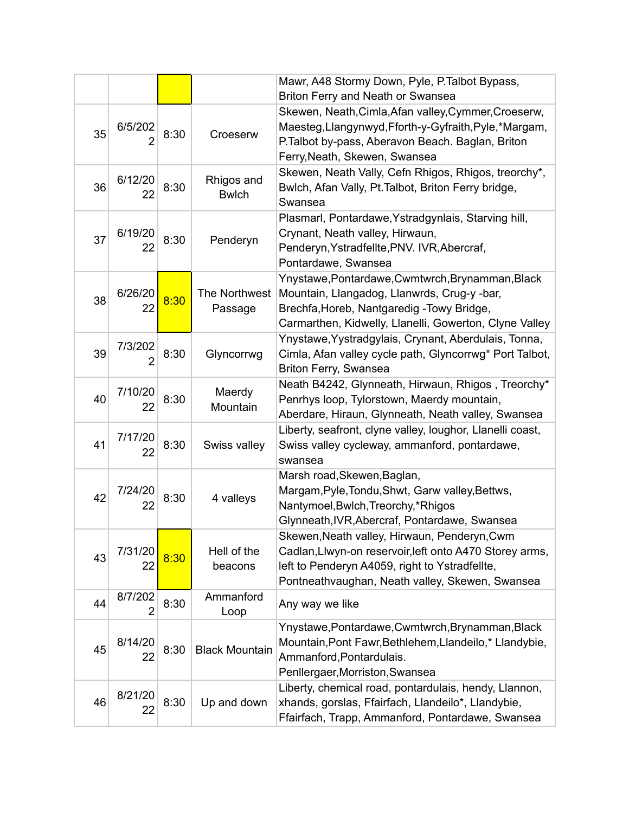|    |                           |      |                            | Mawr, A48 Stormy Down, Pyle, P. Talbot Bypass,<br>Briton Ferry and Neath or Swansea                                                                                                                          |
|----|---------------------------|------|----------------------------|--------------------------------------------------------------------------------------------------------------------------------------------------------------------------------------------------------------|
| 35 | 6/5/202                   | 8:30 | Croeserw                   | Skewen, Neath, Cimla, Afan valley, Cymmer, Croeserw,<br>Maesteg, Llangynwyd, Fforth-y-Gyfraith, Pyle,*Margam,<br>P.Talbot by-pass, Aberavon Beach. Baglan, Briton<br>Ferry, Neath, Skewen, Swansea           |
| 36 | 6/12/20<br>22             | 8:30 | Rhigos and<br><b>Bwlch</b> | Skewen, Neath Vally, Cefn Rhigos, Rhigos, treorchy*,<br>Bwlch, Afan Vally, Pt. Talbot, Briton Ferry bridge,<br>Swansea                                                                                       |
| 37 | 6/19/20<br>22             | 8:30 | Penderyn                   | Plasmarl, Pontardawe, Ystradgynlais, Starving hill,<br>Crynant, Neath valley, Hirwaun,<br>Penderyn, Ystradfellte, PNV. IVR, Abercraf,<br>Pontardawe, Swansea                                                 |
| 38 | 6/26/20<br>22             | 8:30 | The Northwest<br>Passage   | Ynystawe, Pontardawe, Cwmtwrch, Brynamman, Black<br>Mountain, Llangadog, Llanwrds, Crug-y -bar,<br>Brechfa, Horeb, Nantgaredig - Towy Bridge,<br>Carmarthen, Kidwelly, Llanelli, Gowerton, Clyne Valley      |
| 39 | 7/3/202<br>$\overline{2}$ | 8:30 | Glyncorrwg                 | Ynystawe, Yystradgylais, Crynant, Aberdulais, Tonna,<br>Cimla, Afan valley cycle path, Glyncorrwg* Port Talbot,<br>Briton Ferry, Swansea                                                                     |
| 40 | 7/10/20<br>22             | 8:30 | Maerdy<br>Mountain         | Neath B4242, Glynneath, Hirwaun, Rhigos, Treorchy*<br>Penrhys loop, Tylorstown, Maerdy mountain,<br>Aberdare, Hiraun, Glynneath, Neath valley, Swansea                                                       |
| 41 | 7/17/20<br>22             | 8:30 | Swiss valley               | Liberty, seafront, clyne valley, loughor, Llanelli coast,<br>Swiss valley cycleway, ammanford, pontardawe,<br>swansea                                                                                        |
| 42 | 7/24/20<br>22             | 8:30 | 4 valleys                  | Marsh road, Skewen, Baglan,<br>Margam, Pyle, Tondu, Shwt, Garw valley, Bettws,<br>Nantymoel, Bwlch, Treorchy, *Rhigos<br>Glynneath, IVR, Abercraf, Pontardawe, Swansea                                       |
| 43 | 7/31/20<br>22             | 8:30 | Hell of the<br>beacons     | Skewen, Neath valley, Hirwaun, Penderyn, Cwm<br>Cadlan, Llwyn-on reservoir, left onto A470 Storey arms,<br>left to Penderyn A4059, right to Ystradfellte,<br>Pontneathvaughan, Neath valley, Skewen, Swansea |
| 44 | 8/7/202<br>2              | 8:30 | Ammanford<br>Loop          | Any way we like                                                                                                                                                                                              |
| 45 | 8/14/20<br>22             | 8:30 | <b>Black Mountain</b>      | Ynystawe, Pontardawe, Cwmtwrch, Brynamman, Black<br>Mountain, Pont Fawr, Bethlehem, Llandeilo,* Llandybie,<br>Ammanford, Pontardulais.<br>Penllergaer, Morriston, Swansea                                    |
| 46 | 8/21/20<br>22             | 8:30 | Up and down                | Liberty, chemical road, pontardulais, hendy, Llannon,<br>xhands, gorslas, Ffairfach, Llandeilo*, Llandybie,<br>Ffairfach, Trapp, Ammanford, Pontardawe, Swansea                                              |